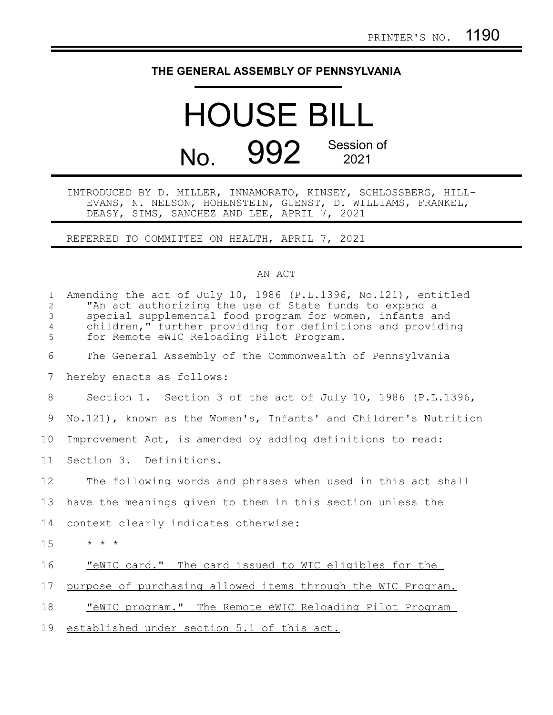## **THE GENERAL ASSEMBLY OF PENNSYLVANIA**

## HOUSE BILL No. 992 Session of 2021

INTRODUCED BY D. MILLER, INNAMORATO, KINSEY, SCHLOSSBERG, HILL-EVANS, N. NELSON, HOHENSTEIN, GUENST, D. WILLIAMS, FRANKEL, DEASY, SIMS, SANCHEZ AND LEE, APRIL 7, 2021

REFERRED TO COMMITTEE ON HEALTH, APRIL 7, 2021

## AN ACT

| $\mathbf{1}$<br>$\overline{2}$<br>3<br>$\overline{4}$<br>5 | Amending the act of July 10, 1986 (P.L.1396, No.121), entitled<br>"An act authorizing the use of State funds to expand a<br>special supplemental food program for women, infants and<br>children," further providing for definitions and providing<br>for Remote eWIC Reloading Pilot Program. |
|------------------------------------------------------------|------------------------------------------------------------------------------------------------------------------------------------------------------------------------------------------------------------------------------------------------------------------------------------------------|
| 6                                                          | The General Assembly of the Commonwealth of Pennsylvania                                                                                                                                                                                                                                       |
| $7\phantom{.0}$                                            | hereby enacts as follows:                                                                                                                                                                                                                                                                      |
| 8                                                          | Section 1. Section 3 of the act of July 10, 1986 (P.L.1396,                                                                                                                                                                                                                                    |
| 9                                                          | No.121), known as the Women's, Infants' and Children's Nutrition                                                                                                                                                                                                                               |
| 10                                                         | Improvement Act, is amended by adding definitions to read:                                                                                                                                                                                                                                     |
| 11                                                         | Section 3. Definitions.                                                                                                                                                                                                                                                                        |
| 12                                                         | The following words and phrases when used in this act shall                                                                                                                                                                                                                                    |
| 13                                                         | have the meanings given to them in this section unless the                                                                                                                                                                                                                                     |
| 14                                                         | context clearly indicates otherwise:                                                                                                                                                                                                                                                           |
| 15                                                         | $\star$ $\star$ $\star$                                                                                                                                                                                                                                                                        |
| 16                                                         | "eWIC card." The card issued to WIC eligibles for the                                                                                                                                                                                                                                          |
| 17                                                         | purpose of purchasing allowed items through the WIC Program.                                                                                                                                                                                                                                   |
| 18                                                         | "eWIC program." The Remote eWIC Reloading Pilot Program                                                                                                                                                                                                                                        |
| 19                                                         | established under section 5.1 of this act.                                                                                                                                                                                                                                                     |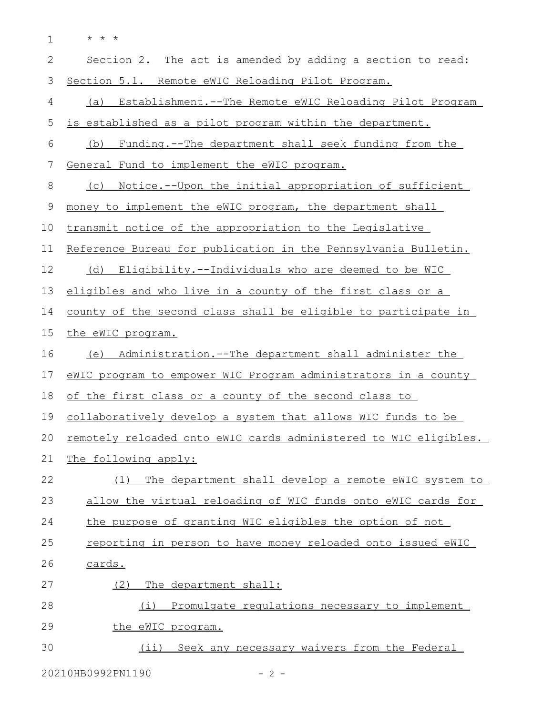\* \* \* 1

| $\mathbf{2}$ | Section 2. The act is amended by adding a section to read:          |
|--------------|---------------------------------------------------------------------|
| 3            | Section 5.1. Remote eWIC Reloading Pilot Program.                   |
| 4            | (a) Establishment.--The Remote eWIC Reloading Pilot Program         |
| 5            | is established as a pilot program within the department.            |
| 6            | Funding.--The department shall seek funding from the<br>(b)         |
| 7            | General Fund to implement the eWIC program.                         |
| 8            | <u>Notice.--Upon the initial appropriation of sufficient</u><br>(C) |
| 9            | money to implement the eWIC program, the department shall           |
| 10           | transmit notice of the appropriation to the Legislative             |
| 11           | Reference Bureau for publication in the Pennsylvania Bulletin.      |
| 12           | (d) Eligibility.--Individuals who are deemed to be WIC              |
| 13           | eligibles and who live in a county of the first class or a          |
| 14           | county of the second class shall be eligible to participate in      |
| 15           | the eWIC program.                                                   |
| 16           | (e) Administration.--The department shall administer the            |
| 17           | eWIC program to empower WIC Program administrators in a county      |
| 18           | of the first class or a county of the second class to               |
| 19           | collaboratively develop a system that allows WIC funds to be        |
| 20           | remotely reloaded onto eWIC cards administered to WIC eligibles.    |
| 21           | The following apply:                                                |
| 22           | The department shall develop a remote eWIC system to<br>(1)         |
| 23           | allow the virtual reloading of WIC funds onto eWIC cards for        |
| 24           | the purpose of granting WIC eligibles the option of not             |
| 25           | reporting in person to have money reloaded onto issued eWIC         |
| 26           | cards.                                                              |
| 27           | The department shall:<br>(2)                                        |
| 28           | (i) Promulgate requlations necessary to implement                   |
| 29           | the eWIC program.                                                   |
| 30           | (ii) Seek any necessary waivers from the Federal                    |

20210HB0992PN1190 - 2 -